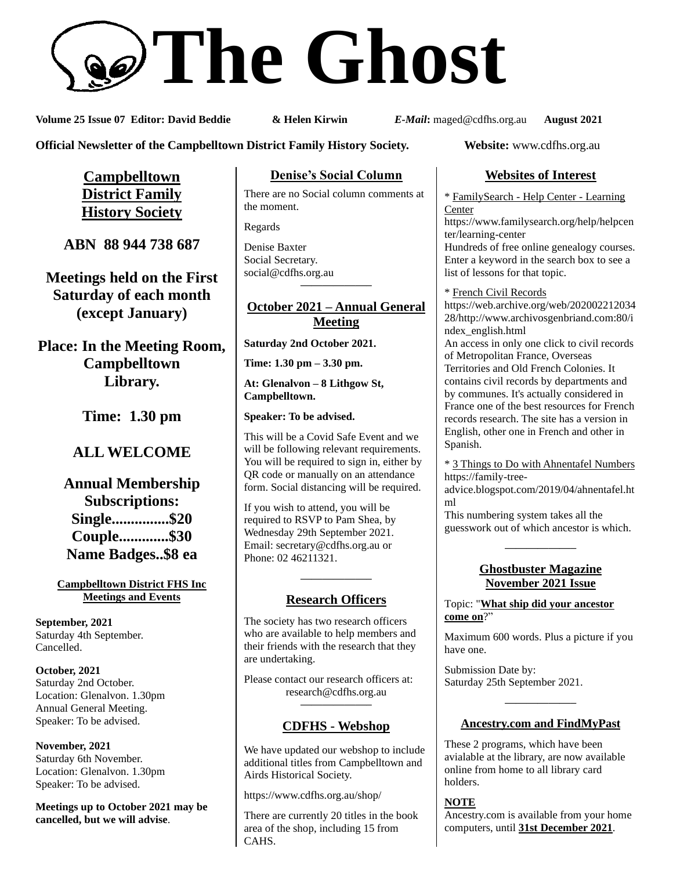# **The Ghost**

**Volume 25 Issue 07 Editor: David Beddie & Helen Kirwin** *E-Mail***:** maged@cdfhs.org.au **August 2021**

**Official Newsletter of the Campbelltown District Family History Society. Website:** www.cdfhs.org.au

**Campbelltown District Family History Society**

**ABN 88 944 738 687**

**Meetings held on the First Saturday of each month (except January)**

**Place: In the Meeting Room, Campbelltown Library.**

**Time: 1.30 pm**

# **ALL WELCOME**

**Annual Membership Subscriptions: Single...............\$20 Couple.............\$30 Name Badges..\$8 ea**

### **Campbelltown District FHS Inc Meetings and Events**

**September, 2021** Saturday 4th September. Cancelled.

**October, 2021** Saturday 2nd October. Location: Glenalvon. 1.30pm Annual General Meeting. Speaker: To be advised.

**November, 2021** Saturday 6th November. Location: Glenalvon. 1.30pm Speaker: To be advised.

**Meetings up to October 2021 may be cancelled, but we will advise**.

## **Denise's Social Column**

There are no Social column comments at the moment.

Regards

Denise Baxter Social Secretary. [social@cdfhs.org.au](mailto:social@cdfhs.org.au) **——————–**

### **October 2021 – Annual General Meeting**

**Saturday 2nd October 2021.**

**Time: 1.30 pm – 3.30 pm.**

**At: Glenalvon – 8 Lithgow St, Campbelltown.**

**Speaker: To be advised.**

This will be a Covid Safe Event and we will be following relevant requirements. You will be required to sign in, either by QR code or manually on an attendance form. Social distancing will be required.

If you wish to attend, you will be required to RSVP to Pam Shea, by Wednesday 29th September 2021. Email: [secretary@cdfhs.org.au](mailto:secretary@cdfhs.org.au) or Phone: 02 46211321.

# **——————– Research Officers**

The society has two research officers who are available to help members and their friends with the research that they are undertaking.

Please contact our research officers at: research@cdfhs.org.au

# **——————– CDFHS - Webshop**

We have updated our webshop to include additional titles from Campbelltown and Airds Historical Society.

https://www.cdfhs.org.au/shop/

There are currently 20 titles in the book area of the shop, including 15 from CAHS.

# **Websites of Interest**

\* FamilySearch - Help Center - Learning Center

https://www.familysearch.org/help/helpcen ter/learning-center

Hundreds of free online genealogy courses. Enter a keyword in the search box to see a list of lessons for that topic.

\* French Civil Records https://web.archive.org/web/202002212034 28/http://www.archivosgenbriand.com:80/i ndex\_english.html

An access in only one click to civil records of Metropolitan France, Overseas Territories and Old French Colonies. It contains civil records by departments and by communes. It's actually considered in France one of the best resources for French records research. The site has a version in English, other one in French and other in Spanish.

\* 3 Things to Do with Ahnentafel Numbers https://family-tree-

advice.blogspot.com/2019/04/ahnentafel.ht ml

This numbering system takes all the guesswork out of which ancestor is which.

### **Ghostbuster Magazine November 2021 Issue**

**——————–**

### Topic: "**What ship did your ancestor come on**?"

Maximum 600 words. Plus a picture if you have one.

Submission Date by: Saturday 25th September 2021.

# **——————– Ancestry.com and FindMyPast**

These 2 programs, which have been avialable at the library, are now available online from home to all library card holders.

### **NOTE**

Ancestry.com is available from your home computers, until **31st December 2021**.